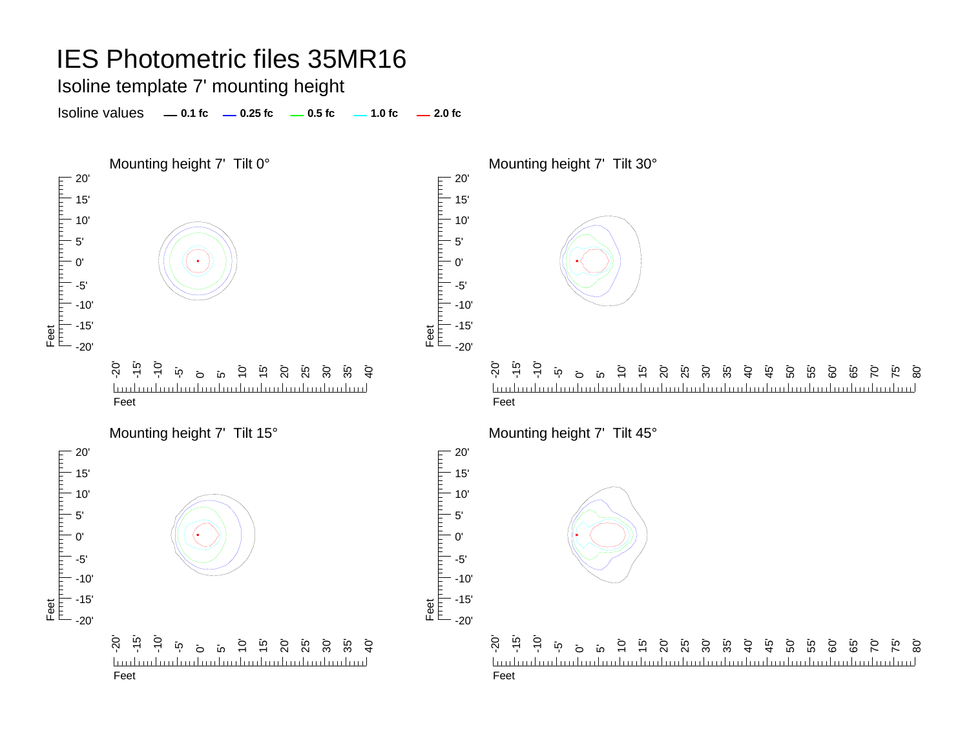Isoline template 7' mounting height

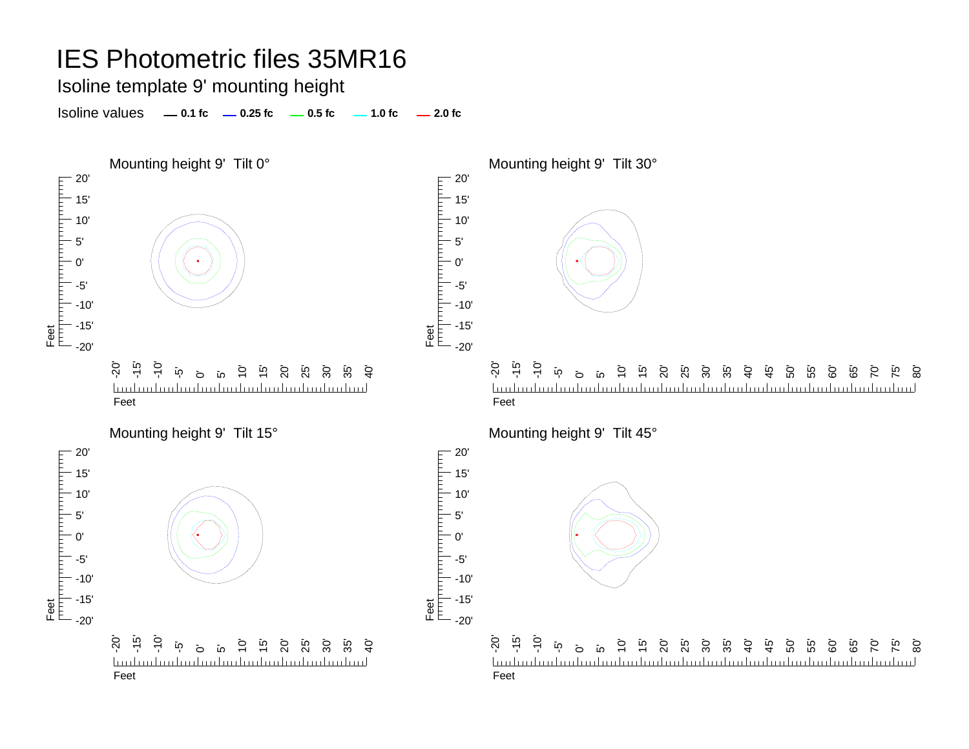Isoline template 9' mounting height

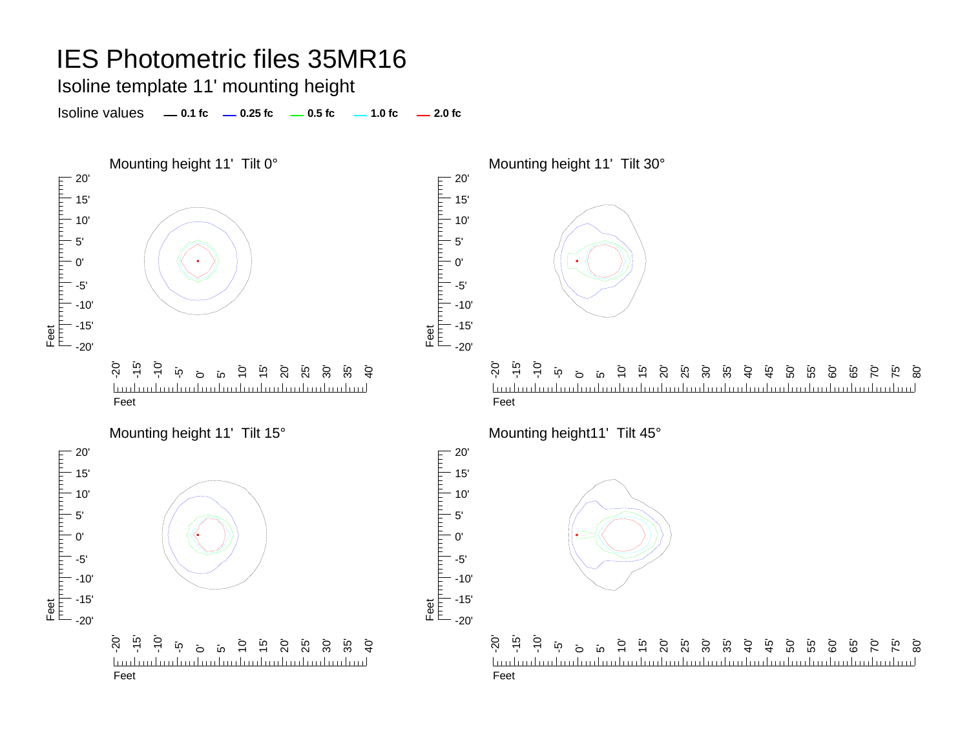Isoline template 11' mounting height

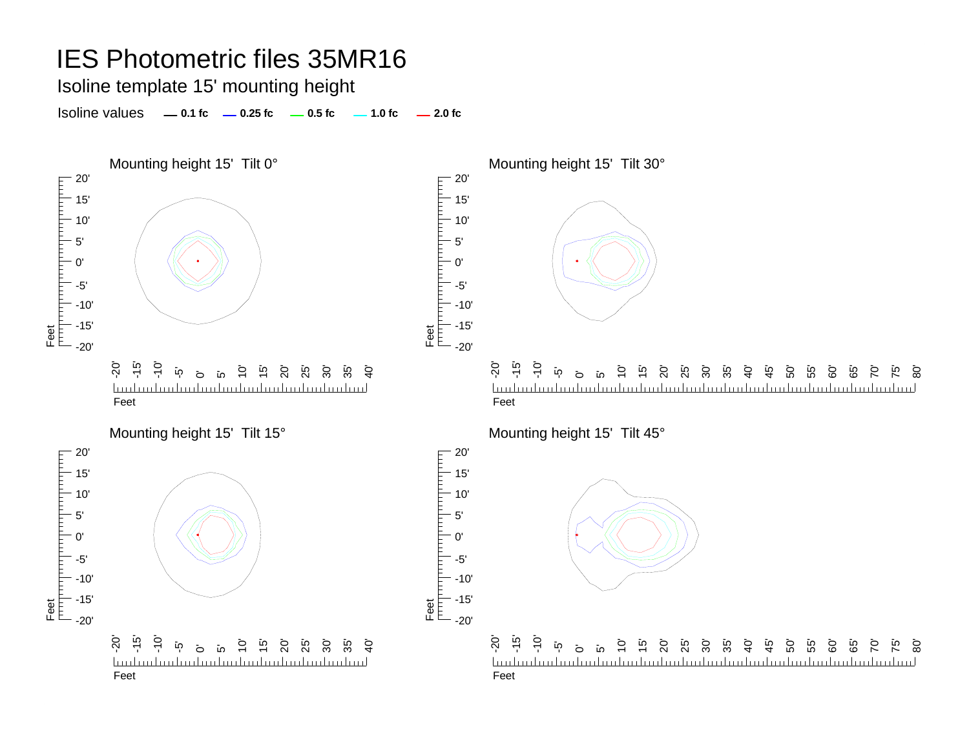Isoline template 15' mounting height

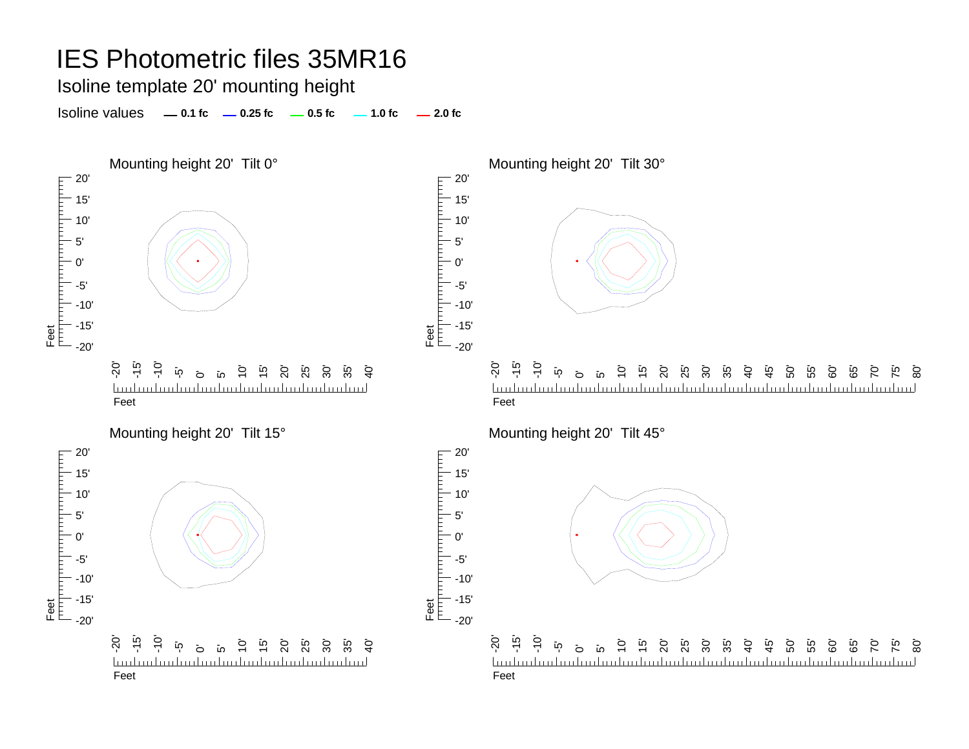Isoline template 20' mounting height

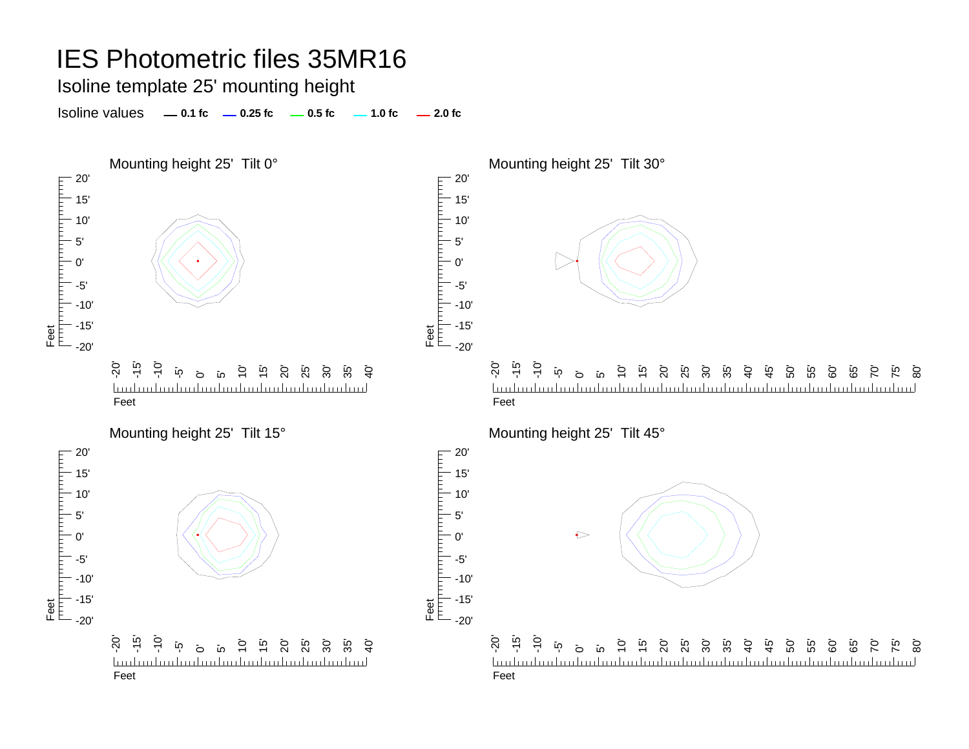Isoline template 25' mounting height